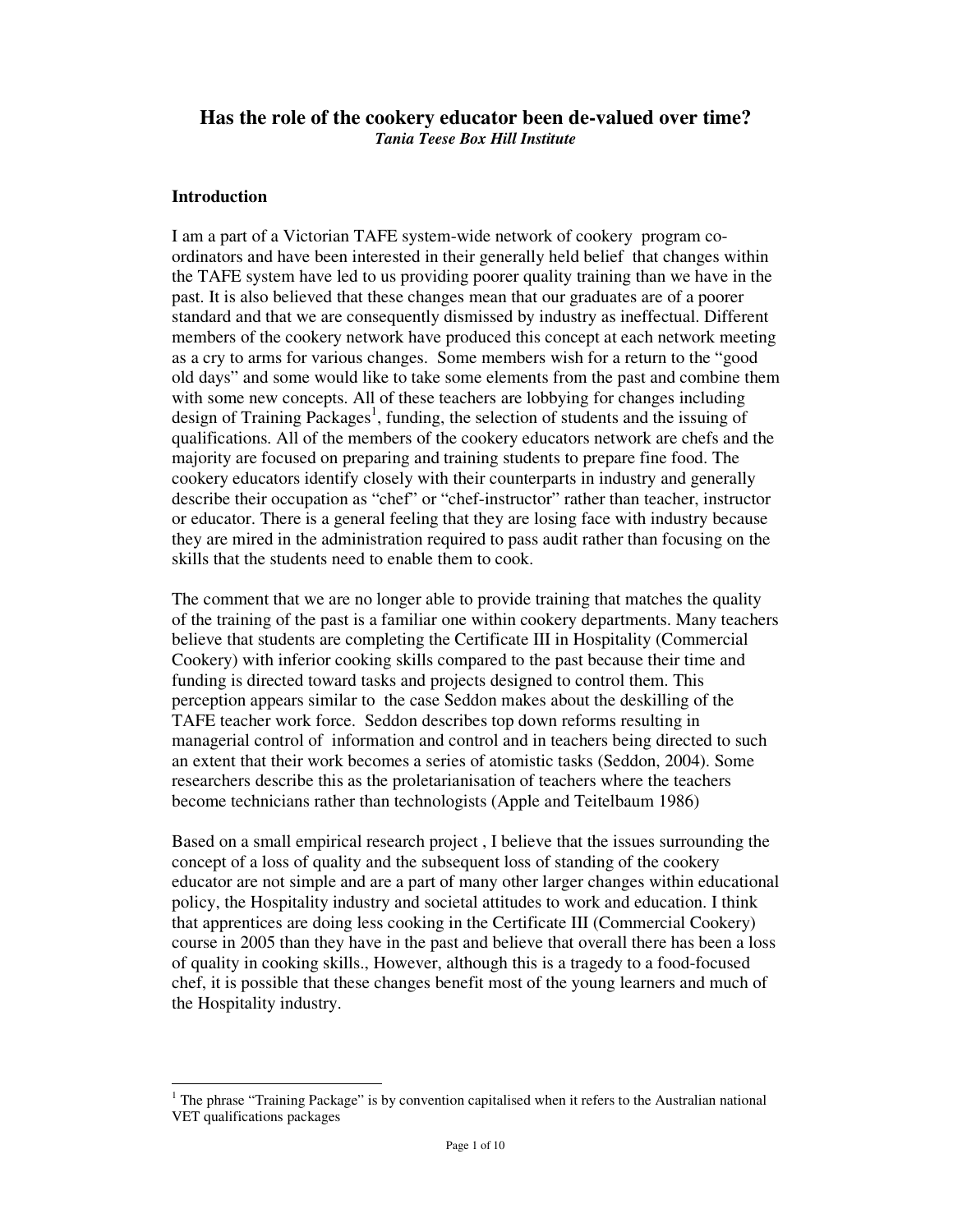# **Has the role of the cookery educator been de-valued over time?** *Tania Teese Box Hill Institute*

# **Introduction**

I am a part of a Victorian TAFE system-wide network of cookery program coordinators and have been interested in their generally held belief that changes within the TAFE system have led to us providing poorer quality training than we have in the past. It is also believed that these changes mean that our graduates are of a poorer standard and that we are consequently dismissed by industry as ineffectual. Different members of the cookery network have produced this concept at each network meeting as a cry to arms for various changes. Some members wish for a return to the "good old days" and some would like to take some elements from the past and combine them with some new concepts. All of these teachers are lobbying for changes including design of Training Packages 1 , funding, the selection of students and the issuing of qualifications. All of the members of the cookery educators network are chefs and the majority are focused on preparing and training students to prepare fine food. The cookery educators identify closely with their counterparts in industry and generally describe their occupation as "chef" or "chef-instructor" rather than teacher, instructor or educator. There is a general feeling that they are losing face with industry because they are mired in the administration required to pass audit rather than focusing on the skills that the students need to enable them to cook.

The comment that we are no longer able to provide training that matches the quality of the training of the past is a familiar one within cookery departments. Many teachers believe that students are completing the Certificate III in Hospitality (Commercial Cookery) with inferior cooking skills compared to the past because their time and funding is directed toward tasks and projects designed to control them. This perception appears similar to the case Seddon makes about the deskilling of the TAFE teacher work force. Seddon describes top down reforms resulting in managerial control of information and control and in teachers being directed to such an extent that their work becomes a series of atomistic tasks (Seddon, 2004). Some researchers describe this as the proletarianisation of teachers where the teachers become technicians rather than technologists (Apple and Teitelbaum 1986)

Based on a small empirical research project , I believe that the issues surrounding the concept of a loss of quality and the subsequent loss of standing of the cookery educator are not simple and are a part of many other larger changes within educational policy, the Hospitality industry and societal attitudes to work and education. I think that apprentices are doing less cooking in the Certificate III (Commercial Cookery) course in 2005 than they have in the past and believe that overall there has been a loss of quality in cooking skills., However, although this is a tragedy to a food-focused chef, it is possible that these changes benefit most of the young learners and much of the Hospitality industry.

<sup>&</sup>lt;sup>1</sup> The phrase "Training Package" is by convention capitalised when it refers to the Australian national VET qualifications packages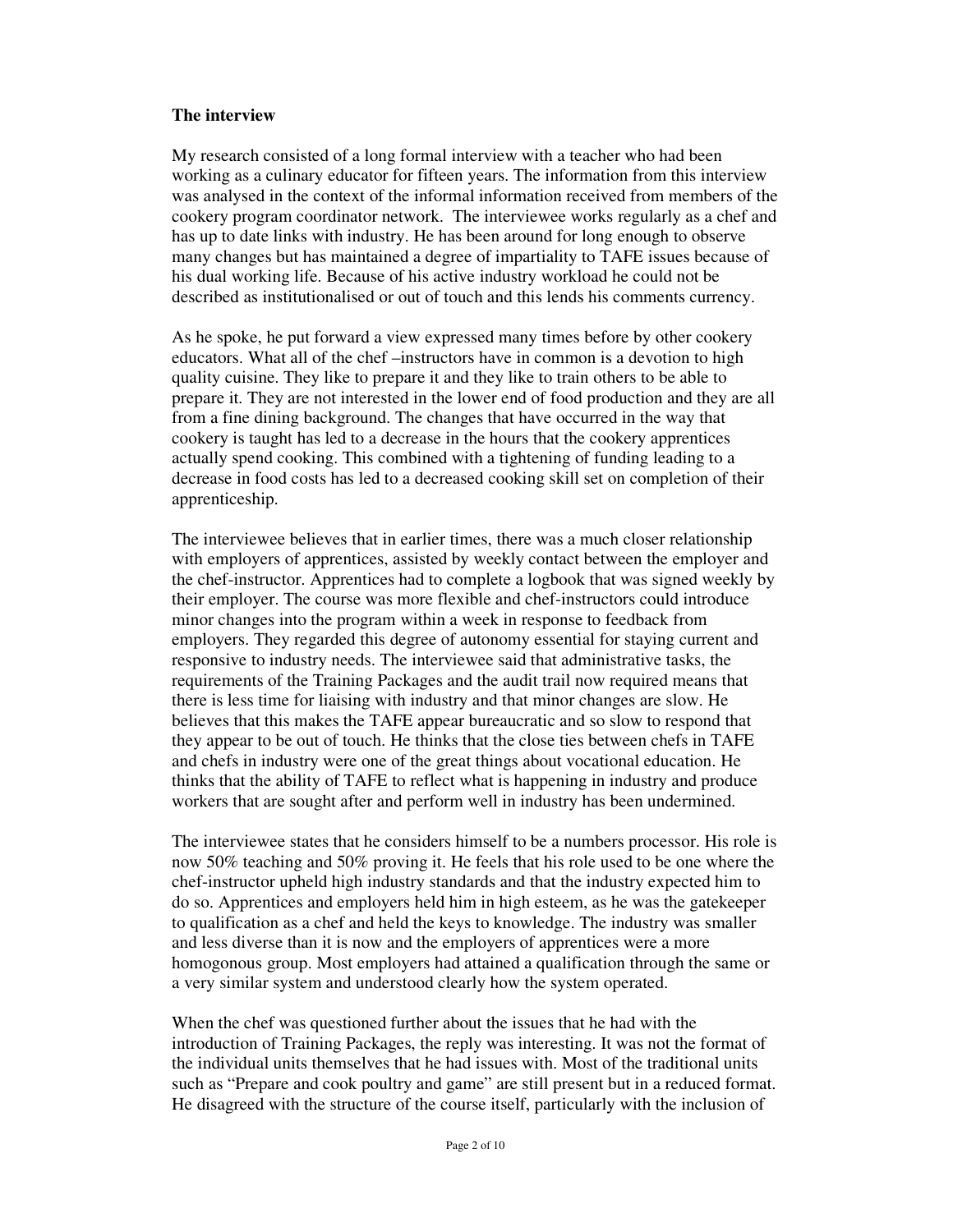### **The interview**

My research consisted of a long formal interview with a teacher who had been working as a culinary educator for fifteen years. The information from this interview was analysed in the context of the informal information received from members of the cookery program coordinator network. The interviewee works regularly as a chef and has up to date links with industry. He has been around for long enough to observe many changes but has maintained a degree of impartiality to TAFE issues because of his dual working life. Because of his active industry workload he could not be described as institutionalised or out of touch and this lends his comments currency.

As he spoke, he put forward a view expressed many times before by other cookery educators. What all of the chef –instructors have in common is a devotion to high quality cuisine. They like to prepare it and they like to train others to be able to prepare it. They are not interested in the lower end of food production and they are all from a fine dining background. The changes that have occurred in the way that cookery is taught has led to a decrease in the hours that the cookery apprentices actually spend cooking. This combined with a tightening of funding leading to a decrease in food costs has led to a decreased cooking skill set on completion of their apprenticeship.

The interviewee believes that in earlier times, there was a much closer relationship with employers of apprentices, assisted by weekly contact between the employer and the chef-instructor. Apprentices had to complete a logbook that was signed weekly by their employer. The course was more flexible and chef-instructors could introduce minor changes into the program within a week in response to feedback from employers. They regarded this degree of autonomy essential for staying current and responsive to industry needs. The interviewee said that administrative tasks, the requirements of the Training Packages and the audit trail now required means that there is less time for liaising with industry and that minor changes are slow. He believes that this makes the TAFE appear bureaucratic and so slow to respond that they appear to be out of touch. He thinks that the close ties between chefs in TAFE and chefs in industry were one of the great things about vocational education. He thinks that the ability of TAFE to reflect what is happening in industry and produce workers that are sought after and perform well in industry has been undermined.

The interviewee states that he considers himself to be a numbers processor. His role is now 50% teaching and 50% proving it. He feels that his role used to be one where the chef-instructor upheld high industry standards and that the industry expected him to do so. Apprentices and employers held him in high esteem, as he was the gatekeeper to qualification as a chef and held the keys to knowledge. The industry was smaller and less diverse than it is now and the employers of apprentices were a more homogonous group. Most employers had attained a qualification through the same or a very similar system and understood clearly how the system operated.

When the chef was questioned further about the issues that he had with the introduction of Training Packages, the reply was interesting. It was not the format of the individual units themselves that he had issues with. Most of the traditional units such as "Prepare and cook poultry and game" are still present but in a reduced format. He disagreed with the structure of the course itself, particularly with the inclusion of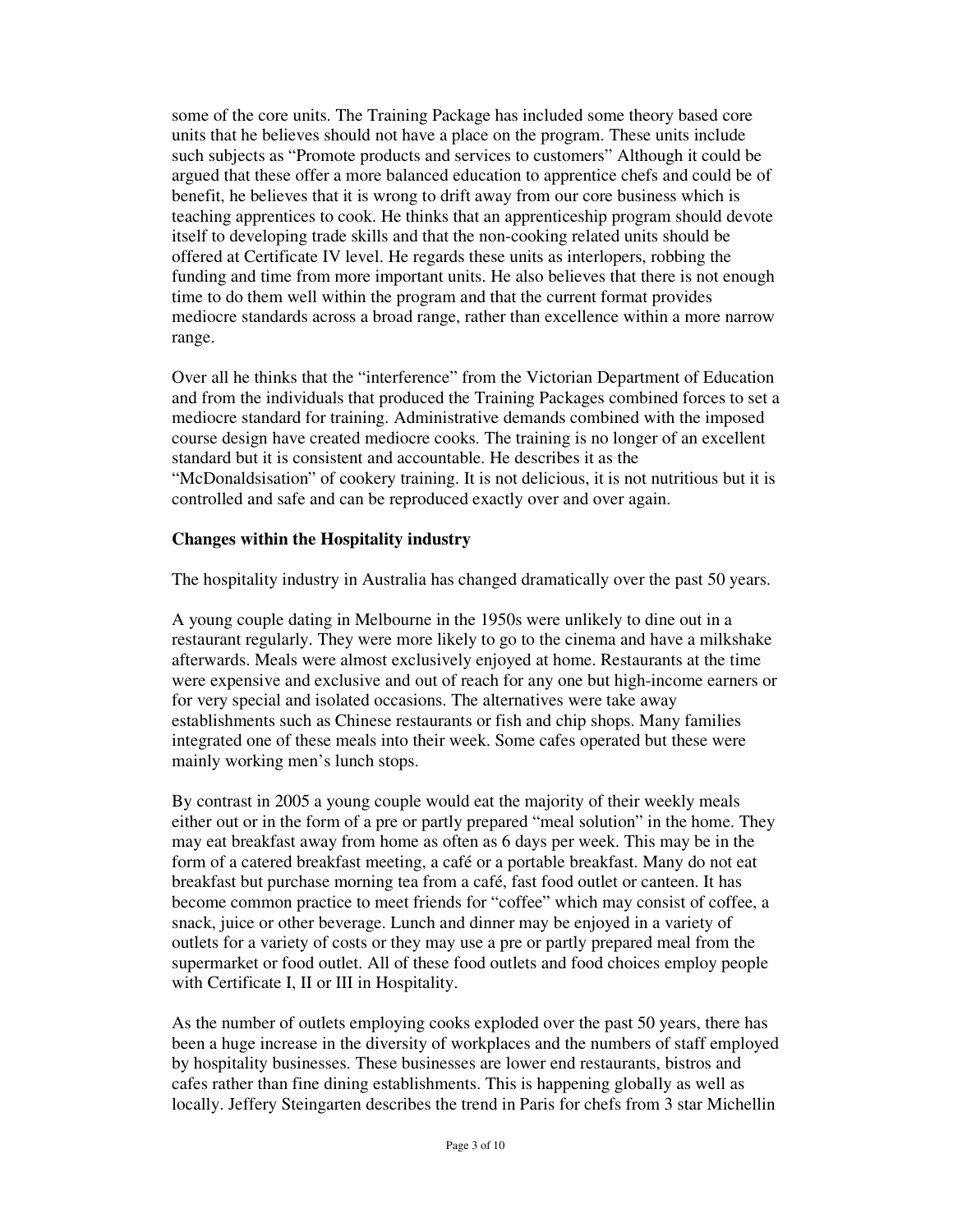some of the core units. The Training Package has included some theory based core units that he believes should not have a place on the program. These units include such subjects as "Promote products and services to customers" Although it could be argued that these offer a more balanced education to apprentice chefs and could be of benefit, he believes that it is wrong to drift away from our core business which is teaching apprentices to cook. He thinks that an apprenticeship program should devote itself to developing trade skills and that the non-cooking related units should be offered at Certificate IV level. He regards these units as interlopers, robbing the funding and time from more important units. He also believes that there is not enough time to do them well within the program and that the current format provides mediocre standards across a broad range, rather than excellence within a more narrow range.

Over all he thinks that the "interference" from the Victorian Department of Education and from the individuals that produced the Training Packages combined forces to set a mediocre standard for training. Administrative demands combined with the imposed course design have created mediocre cooks. The training is no longer of an excellent standard but it is consistent and accountable. He describes it as the "McDonaldsisation" of cookery training. It is not delicious, it is not nutritious but it is controlled and safe and can be reproduced exactly over and over again.

### **Changes within the Hospitality industry**

The hospitality industry in Australia has changed dramatically over the past 50 years.

A young couple dating in Melbourne in the 1950s were unlikely to dine out in a restaurant regularly. They were more likely to go to the cinema and have a milkshake afterwards. Meals were almost exclusively enjoyed at home. Restaurants at the time were expensive and exclusive and out of reach for any one but high-income earners or for very special and isolated occasions. The alternatives were take away establishments such as Chinese restaurants or fish and chip shops. Many families integrated one of these meals into their week. Some cafes operated but these were mainly working men's lunch stops.

By contrast in 2005 a young couple would eat the majority of their weekly meals either out or in the form of a pre or partly prepared "meal solution" in the home. They may eat breakfast away from home as often as 6 days per week. This may be in the form of a catered breakfast meeting, a café or a portable breakfast. Many do not eat breakfast but purchase morning tea from a café, fast food outlet or canteen. It has become common practice to meet friends for "coffee" which may consist of coffee, a snack, juice or other beverage. Lunch and dinner may be enjoyed in a variety of outlets for a variety of costs or they may use a pre or partly prepared meal from the supermarket or food outlet. All of these food outlets and food choices employ people with Certificate I, II or III in Hospitality.

As the number of outlets employing cooks exploded over the past 50 years, there has been a huge increase in the diversity of workplaces and the numbers of staff employed by hospitality businesses. These businesses are lower end restaurants, bistros and cafes rather than fine dining establishments. This is happening globally as well as locally. Jeffery Steingarten describes the trend in Paris for chefs from 3 star Michellin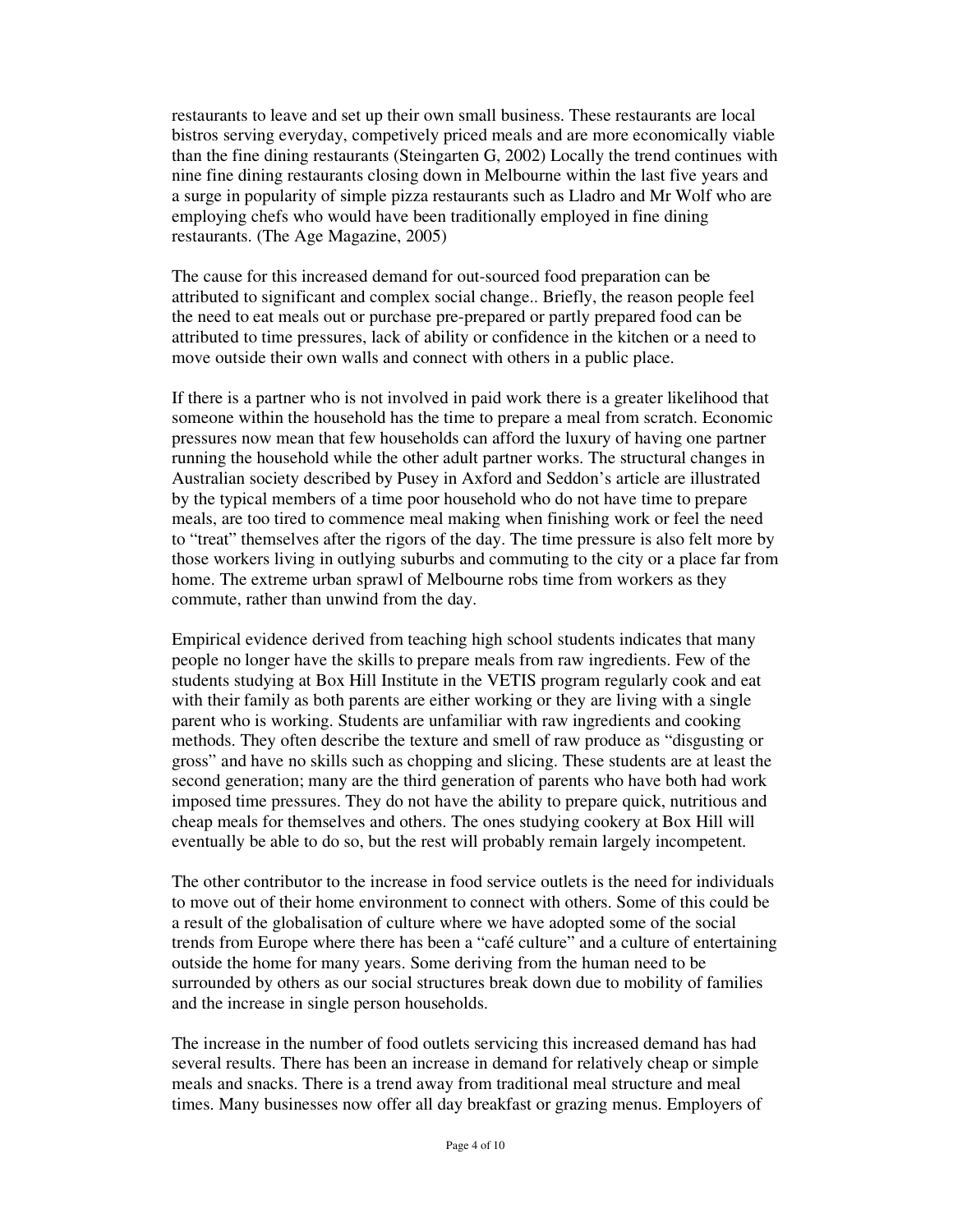restaurants to leave and set up their own small business. These restaurants are local bistros serving everyday, competively priced meals and are more economically viable than the fine dining restaurants (Steingarten G, 2002) Locally the trend continues with nine fine dining restaurants closing down in Melbourne within the last five years and a surge in popularity of simple pizza restaurants such as Lladro and Mr Wolf who are employing chefs who would have been traditionally employed in fine dining restaurants. (The Age Magazine, 2005)

The cause for this increased demand for out-sourced food preparation can be attributed to significant and complex social change.. Briefly, the reason people feel the need to eat meals out or purchase pre-prepared or partly prepared food can be attributed to time pressures, lack of ability or confidence in the kitchen or a need to move outside their own walls and connect with others in a public place.

If there is a partner who is not involved in paid work there is a greater likelihood that someone within the household has the time to prepare a meal from scratch. Economic pressures now mean that few households can afford the luxury of having one partner running the household while the other adult partner works. The structural changes in Australian society described by Pusey in Axford and Seddon's article are illustrated by the typical members of a time poor household who do not have time to prepare meals, are too tired to commence meal making when finishing work or feel the need to "treat" themselves after the rigors of the day. The time pressure is also felt more by those workers living in outlying suburbs and commuting to the city or a place far from home. The extreme urban sprawl of Melbourne robs time from workers as they commute, rather than unwind from the day.

Empirical evidence derived from teaching high school students indicates that many people no longer have the skills to prepare meals from raw ingredients. Few of the students studying at Box Hill Institute in the VETIS program regularly cook and eat with their family as both parents are either working or they are living with a single parent who is working. Students are unfamiliar with raw ingredients and cooking methods. They often describe the texture and smell of raw produce as "disgusting or gross" and have no skills such as chopping and slicing. These students are at least the second generation; many are the third generation of parents who have both had work imposed time pressures. They do not have the ability to prepare quick, nutritious and cheap meals for themselves and others. The ones studying cookery at Box Hill will eventually be able to do so, but the rest will probably remain largely incompetent.

The other contributor to the increase in food service outlets is the need for individuals to move out of their home environment to connect with others. Some of this could be a result of the globalisation of culture where we have adopted some of the social trends from Europe where there has been a "café culture" and a culture of entertaining outside the home for many years. Some deriving from the human need to be surrounded by others as our social structures break down due to mobility of families and the increase in single person households.

The increase in the number of food outlets servicing this increased demand has had several results. There has been an increase in demand for relatively cheap or simple meals and snacks. There is a trend away from traditional meal structure and meal times. Many businesses now offer all day breakfast or grazing menus. Employers of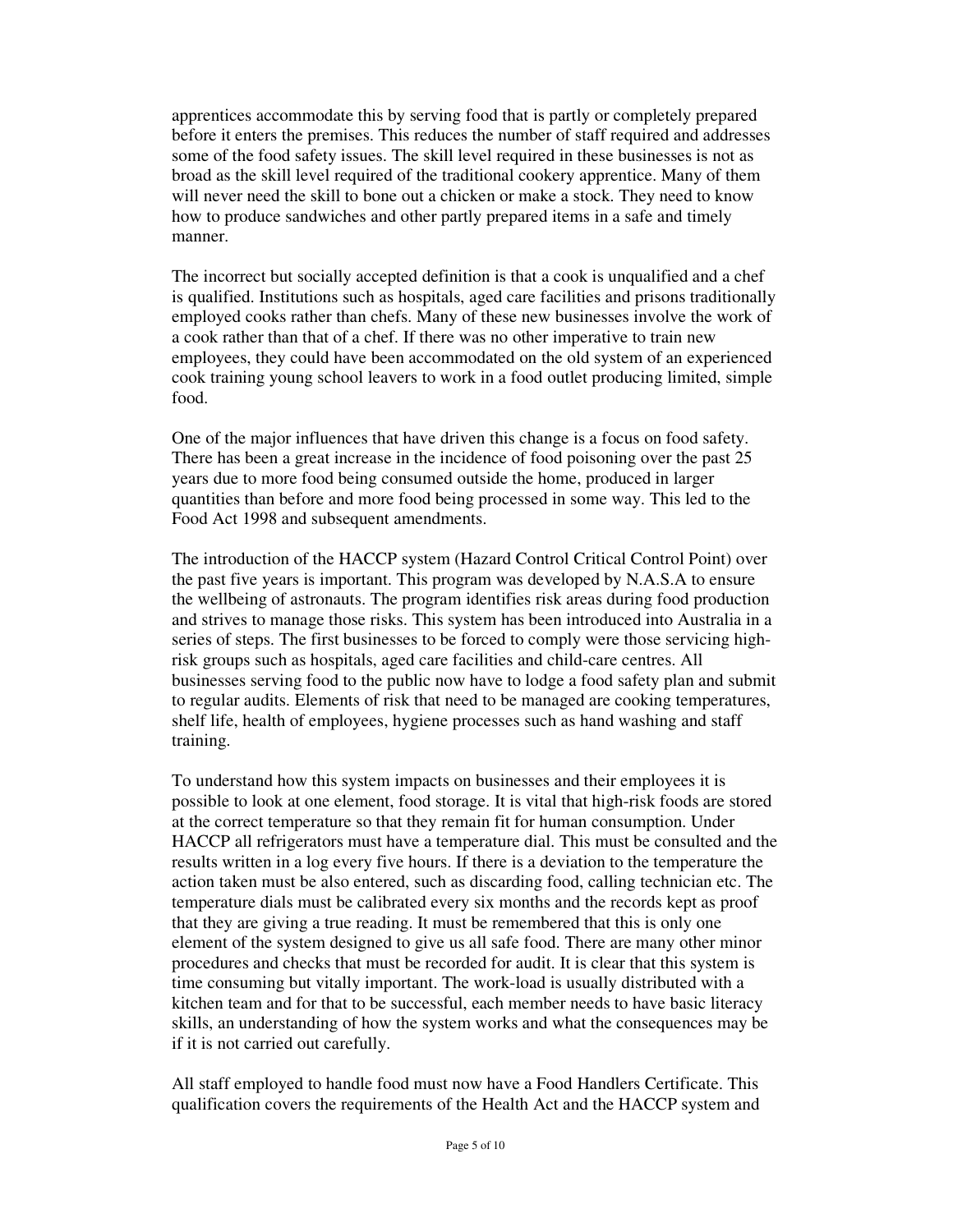apprentices accommodate this by serving food that is partly or completely prepared before it enters the premises. This reduces the number of staff required and addresses some of the food safety issues. The skill level required in these businesses is not as broad as the skill level required of the traditional cookery apprentice. Many of them will never need the skill to bone out a chicken or make a stock. They need to know how to produce sandwiches and other partly prepared items in a safe and timely manner.

The incorrect but socially accepted definition is that a cook is unqualified and a chef is qualified. Institutions such as hospitals, aged care facilities and prisons traditionally employed cooks rather than chefs. Many of these new businesses involve the work of a cook rather than that of a chef. If there was no other imperative to train new employees, they could have been accommodated on the old system of an experienced cook training young school leavers to work in a food outlet producing limited, simple food.

One of the major influences that have driven this change is a focus on food safety. There has been a great increase in the incidence of food poisoning over the past 25 years due to more food being consumed outside the home, produced in larger quantities than before and more food being processed in some way. This led to the Food Act 1998 and subsequent amendments.

The introduction of the HACCP system (Hazard Control Critical Control Point) over the past five years is important. This program was developed by N.A.S.A to ensure the wellbeing of astronauts. The program identifies risk areas during food production and strives to manage those risks. This system has been introduced into Australia in a series of steps. The first businesses to be forced to comply were those servicing highrisk groups such as hospitals, aged care facilities and child-care centres. All businesses serving food to the public now have to lodge a food safety plan and submit to regular audits. Elements of risk that need to be managed are cooking temperatures, shelf life, health of employees, hygiene processes such as hand washing and staff training.

To understand how this system impacts on businesses and their employees it is possible to look at one element, food storage. It is vital that high-risk foods are stored at the correct temperature so that they remain fit for human consumption. Under HACCP all refrigerators must have a temperature dial. This must be consulted and the results written in a log every five hours. If there is a deviation to the temperature the action taken must be also entered, such as discarding food, calling technician etc. The temperature dials must be calibrated every six months and the records kept as proof that they are giving a true reading. It must be remembered that this is only one element of the system designed to give us all safe food. There are many other minor procedures and checks that must be recorded for audit. It is clear that this system is time consuming but vitally important. The work-load is usually distributed with a kitchen team and for that to be successful, each member needs to have basic literacy skills, an understanding of how the system works and what the consequences may be if it is not carried out carefully.

All staff employed to handle food must now have a Food Handlers Certificate. This qualification covers the requirements of the Health Act and the HACCP system and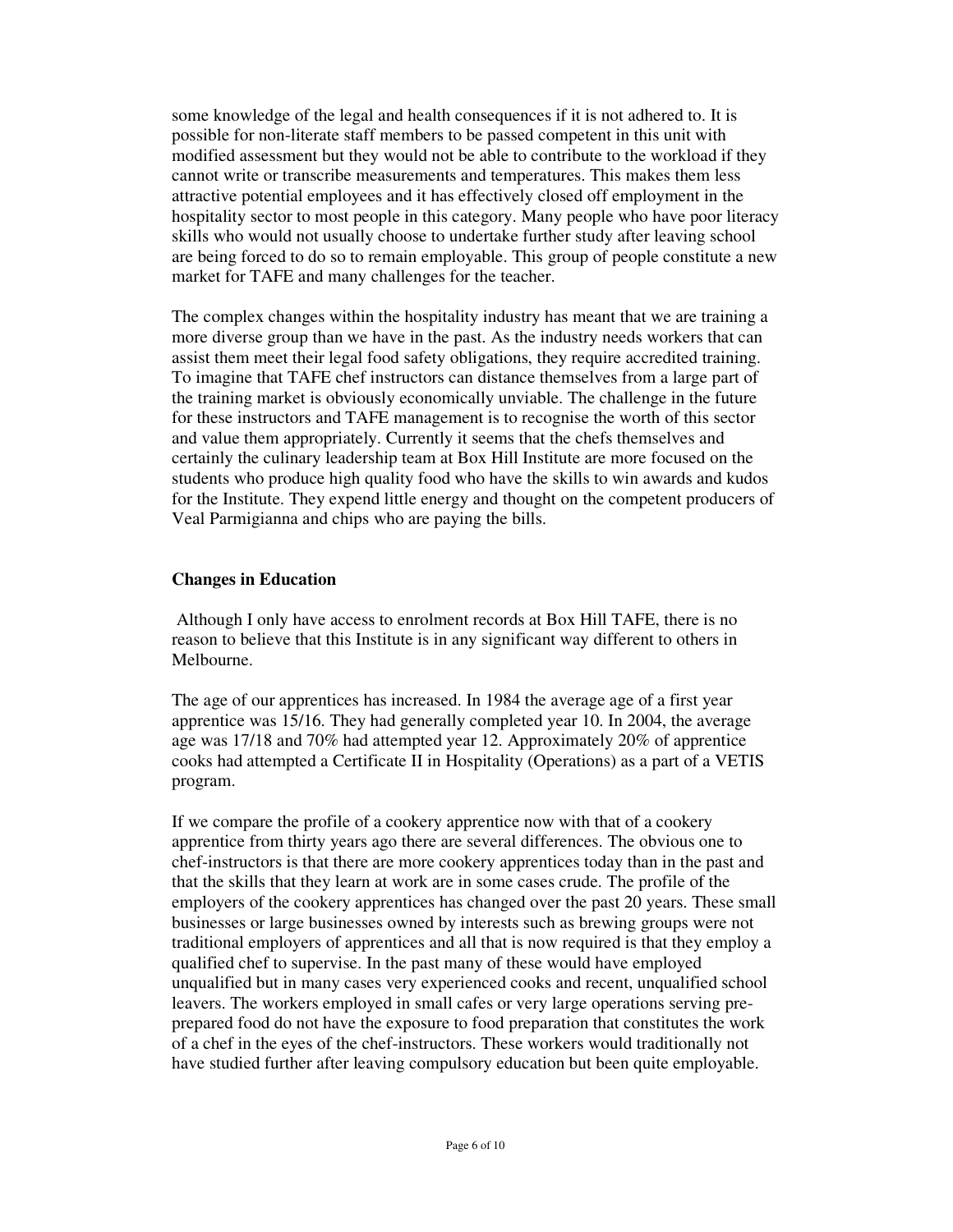some knowledge of the legal and health consequences if it is not adhered to. It is possible for non-literate staff members to be passed competent in this unit with modified assessment but they would not be able to contribute to the workload if they cannot write or transcribe measurements and temperatures. This makes them less attractive potential employees and it has effectively closed off employment in the hospitality sector to most people in this category. Many people who have poor literacy skills who would not usually choose to undertake further study after leaving school are being forced to do so to remain employable. This group of people constitute a new market for TAFE and many challenges for the teacher.

The complex changes within the hospitality industry has meant that we are training a more diverse group than we have in the past. As the industry needs workers that can assist them meet their legal food safety obligations, they require accredited training. To imagine that TAFE chef instructors can distance themselves from a large part of the training market is obviously economically unviable. The challenge in the future for these instructors and TAFE management is to recognise the worth of this sector and value them appropriately. Currently it seems that the chefs themselves and certainly the culinary leadership team at Box Hill Institute are more focused on the students who produce high quality food who have the skills to win awards and kudos for the Institute. They expend little energy and thought on the competent producers of Veal Parmigianna and chips who are paying the bills.

#### **Changes in Education**

Although I only have access to enrolment records at Box Hill TAFE, there is no reason to believe that this Institute is in any significant way different to others in Melbourne.

The age of our apprentices has increased. In 1984 the average age of a first year apprentice was 15/16. They had generally completed year 10. In 2004, the average age was 17/18 and 70% had attempted year 12. Approximately 20% of apprentice cooks had attempted a Certificate II in Hospitality (Operations) as a part of a VETIS program.

If we compare the profile of a cookery apprentice now with that of a cookery apprentice from thirty years ago there are several differences. The obvious one to chef-instructors is that there are more cookery apprentices today than in the past and that the skills that they learn at work are in some cases crude. The profile of the employers of the cookery apprentices has changed over the past 20 years. These small businesses or large businesses owned by interests such as brewing groups were not traditional employers of apprentices and all that is now required is that they employ a qualified chef to supervise. In the past many of these would have employed unqualified but in many cases very experienced cooks and recent, unqualified school leavers. The workers employed in small cafes or very large operations serving preprepared food do not have the exposure to food preparation that constitutes the work of a chef in the eyes of the chef-instructors. These workers would traditionally not have studied further after leaving compulsory education but been quite employable.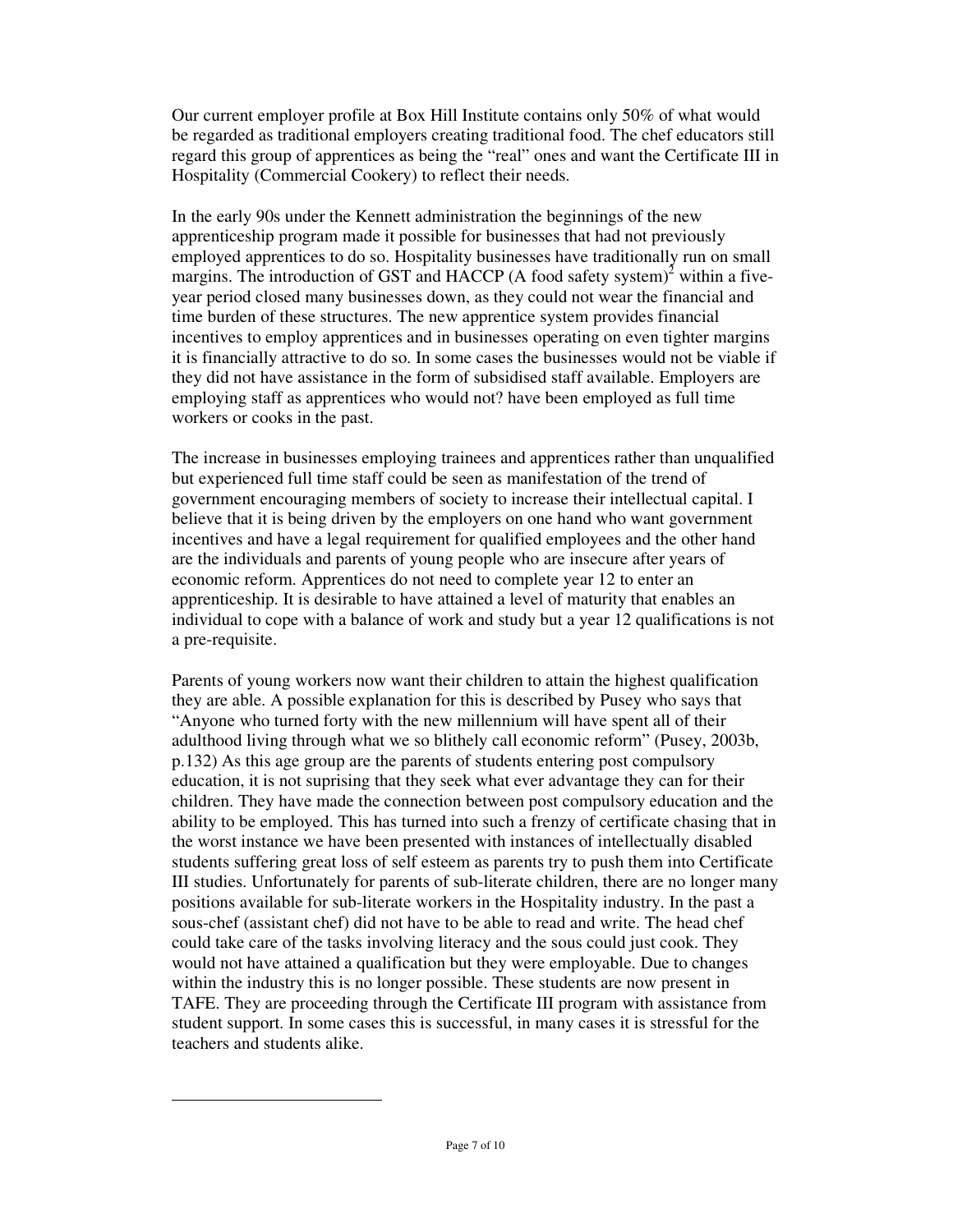Our current employer profile at Box Hill Institute contains only 50% of what would be regarded as traditional employers creating traditional food. The chef educators still regard this group of apprentices as being the "real" ones and want the Certificate III in Hospitality (Commercial Cookery) to reflect their needs.

In the early 90s under the Kennett administration the beginnings of the new apprenticeship program made it possible for businesses that had not previously employed apprentices to do so. Hospitality businesses have traditionally run on small margins. The introduction of GST and HACCP (A food safety system) $^2$  within a fiveyear period closed many businesses down, as they could not wear the financial and time burden of these structures. The new apprentice system provides financial incentives to employ apprentices and in businesses operating on even tighter margins it is financially attractive to do so. In some cases the businesses would not be viable if they did not have assistance in the form of subsidised staff available. Employers are employing staff as apprentices who would not? have been employed as full time workers or cooks in the past.

The increase in businesses employing trainees and apprentices rather than unqualified but experienced full time staff could be seen as manifestation of the trend of government encouraging members of society to increase their intellectual capital. I believe that it is being driven by the employers on one hand who want government incentives and have a legal requirement for qualified employees and the other hand are the individuals and parents of young people who are insecure after years of economic reform. Apprentices do not need to complete year 12 to enter an apprenticeship. It is desirable to have attained a level of maturity that enables an individual to cope with a balance of work and study but a year 12 qualifications is not a pre-requisite.

Parents of young workers now want their children to attain the highest qualification they are able. A possible explanation for this is described by Pusey who says that "Anyone who turned forty with the new millennium will have spent all of their adulthood living through what we so blithely call economic reform" (Pusey, 2003b, p.132) As this age group are the parents of students entering post compulsory education, it is not suprising that they seek what ever advantage they can for their children. They have made the connection between post compulsory education and the ability to be employed. This has turned into such a frenzy of certificate chasing that in the worst instance we have been presented with instances of intellectually disabled students suffering great loss of self esteem as parents try to push them into Certificate III studies. Unfortunately for parents of sub-literate children, there are no longer many positions available for sub-literate workers in the Hospitality industry. In the past a sous-chef (assistant chef) did not have to be able to read and write. The head chef could take care of the tasks involving literacy and the sous could just cook. They would not have attained a qualification but they were employable. Due to changes within the industry this is no longer possible. These students are now present in TAFE. They are proceeding through the Certificate III program with assistance from student support. In some cases this is successful, in many cases it is stressful for the teachers and students alike.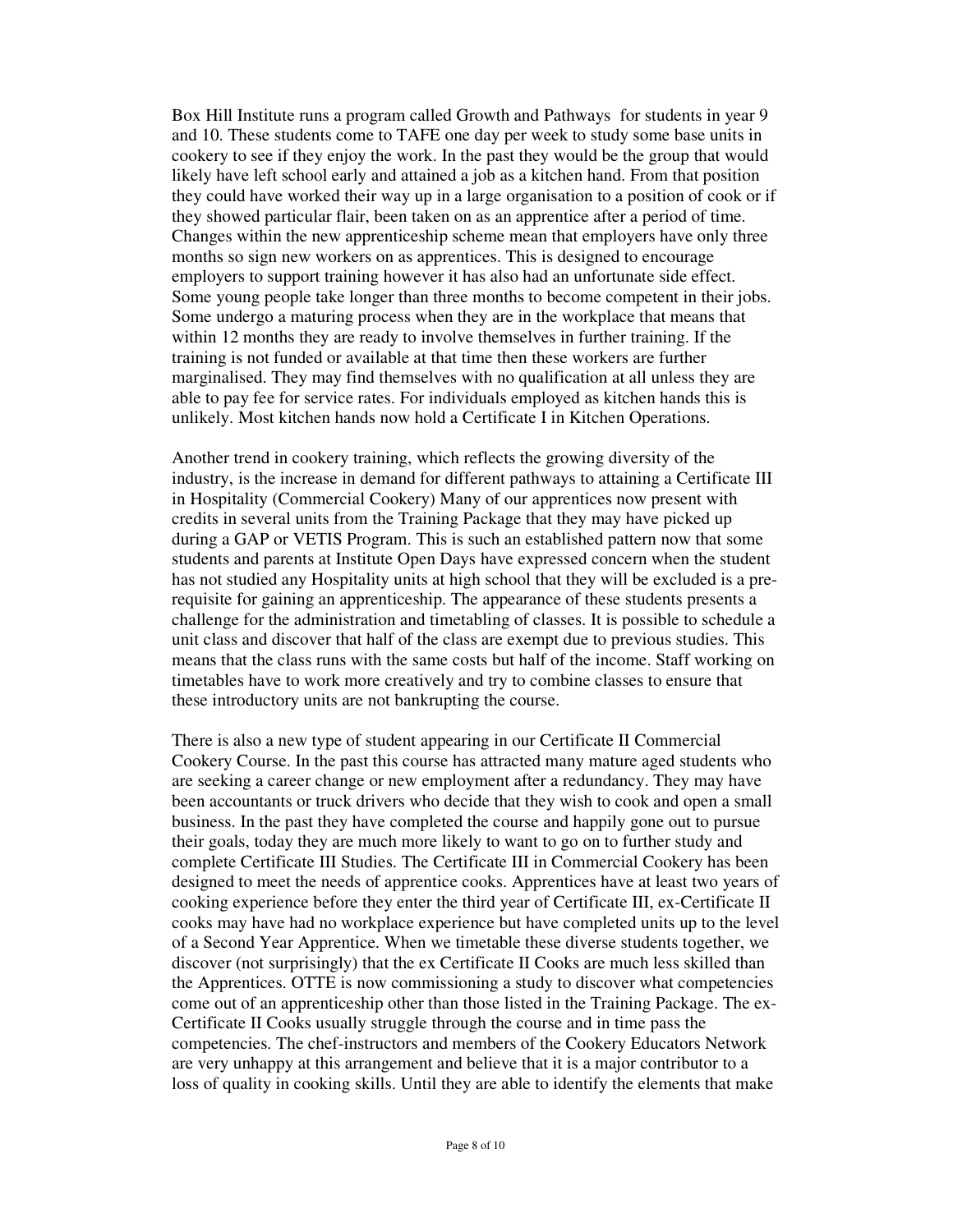Box Hill Institute runs a program called Growth and Pathways for students in year 9 and 10. These students come to TAFE one day per week to study some base units in cookery to see if they enjoy the work. In the past they would be the group that would likely have left school early and attained a job as a kitchen hand. From that position they could have worked their way up in a large organisation to a position of cook or if they showed particular flair, been taken on as an apprentice after a period of time. Changes within the new apprenticeship scheme mean that employers have only three months so sign new workers on as apprentices. This is designed to encourage employers to support training however it has also had an unfortunate side effect. Some young people take longer than three months to become competent in their jobs. Some undergo a maturing process when they are in the workplace that means that within 12 months they are ready to involve themselves in further training. If the training is not funded or available at that time then these workers are further marginalised. They may find themselves with no qualification at all unless they are able to pay fee for service rates. For individuals employed as kitchen hands this is unlikely. Most kitchen hands now hold a Certificate I in Kitchen Operations.

Another trend in cookery training, which reflects the growing diversity of the industry, is the increase in demand for different pathways to attaining a Certificate III in Hospitality (Commercial Cookery) Many of our apprentices now present with credits in several units from the Training Package that they may have picked up during a GAP or VETIS Program. This is such an established pattern now that some students and parents at Institute Open Days have expressed concern when the student has not studied any Hospitality units at high school that they will be excluded is a prerequisite for gaining an apprenticeship. The appearance of these students presents a challenge for the administration and timetabling of classes. It is possible to schedule a unit class and discover that half of the class are exempt due to previous studies. This means that the class runs with the same costs but half of the income. Staff working on timetables have to work more creatively and try to combine classes to ensure that these introductory units are not bankrupting the course.

There is also a new type of student appearing in our Certificate II Commercial Cookery Course. In the past this course has attracted many mature aged students who are seeking a career change or new employment after a redundancy. They may have been accountants or truck drivers who decide that they wish to cook and open a small business. In the past they have completed the course and happily gone out to pursue their goals, today they are much more likely to want to go on to further study and complete Certificate III Studies. The Certificate III in Commercial Cookery has been designed to meet the needs of apprentice cooks. Apprentices have at least two years of cooking experience before they enter the third year of Certificate III, ex-Certificate II cooks may have had no workplace experience but have completed units up to the level of a Second Year Apprentice. When we timetable these diverse students together, we discover (not surprisingly) that the ex Certificate II Cooks are much less skilled than the Apprentices. OTTE is now commissioning a study to discover what competencies come out of an apprenticeship other than those listed in the Training Package. The ex-Certificate II Cooks usually struggle through the course and in time pass the competencies. The chef-instructors and members of the Cookery Educators Network are very unhappy at this arrangement and believe that it is a major contributor to a loss of quality in cooking skills. Until they are able to identify the elements that make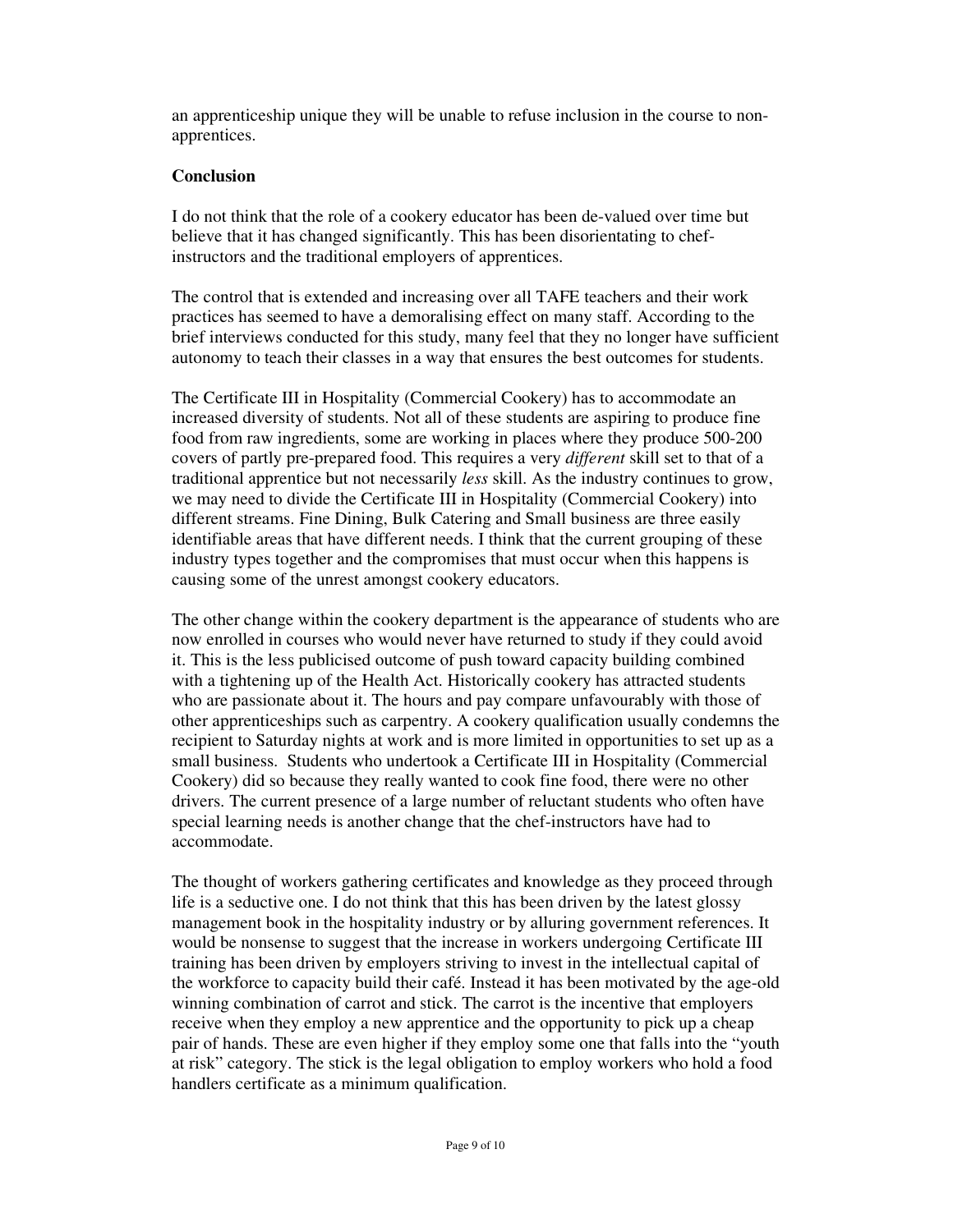an apprenticeship unique they will be unable to refuse inclusion in the course to nonapprentices.

# **Conclusion**

I do not think that the role of a cookery educator has been de-valued over time but believe that it has changed significantly. This has been disorientating to chefinstructors and the traditional employers of apprentices.

The control that is extended and increasing over all TAFE teachers and their work practices has seemed to have a demoralising effect on many staff. According to the brief interviews conducted for this study, many feel that they no longer have sufficient autonomy to teach their classes in a way that ensures the best outcomes for students.

The Certificate III in Hospitality (Commercial Cookery) has to accommodate an increased diversity of students. Not all of these students are aspiring to produce fine food from raw ingredients, some are working in places where they produce 500-200 covers of partly pre-prepared food. This requires a very *different* skill set to that of a traditional apprentice but not necessarily *less* skill. As the industry continues to grow, we may need to divide the Certificate III in Hospitality (Commercial Cookery) into different streams. Fine Dining, Bulk Catering and Small business are three easily identifiable areas that have different needs. I think that the current grouping of these industry types together and the compromises that must occur when this happens is causing some of the unrest amongst cookery educators.

The other change within the cookery department is the appearance of students who are now enrolled in courses who would never have returned to study if they could avoid it. This is the less publicised outcome of push toward capacity building combined with a tightening up of the Health Act. Historically cookery has attracted students who are passionate about it. The hours and pay compare unfavourably with those of other apprenticeships such as carpentry. A cookery qualification usually condemns the recipient to Saturday nights at work and is more limited in opportunities to set up as a small business. Students who undertook a Certificate III in Hospitality (Commercial Cookery) did so because they really wanted to cook fine food, there were no other drivers. The current presence of a large number of reluctant students who often have special learning needs is another change that the chef-instructors have had to accommodate.

The thought of workers gathering certificates and knowledge as they proceed through life is a seductive one. I do not think that this has been driven by the latest glossy management book in the hospitality industry or by alluring government references. It would be nonsense to suggest that the increase in workers undergoing Certificate III training has been driven by employers striving to invest in the intellectual capital of the workforce to capacity build their café. Instead it has been motivated by the age-old winning combination of carrot and stick. The carrot is the incentive that employers receive when they employ a new apprentice and the opportunity to pick up a cheap pair of hands. These are even higher if they employ some one that falls into the "youth at risk" category. The stick is the legal obligation to employ workers who hold a food handlers certificate as a minimum qualification.